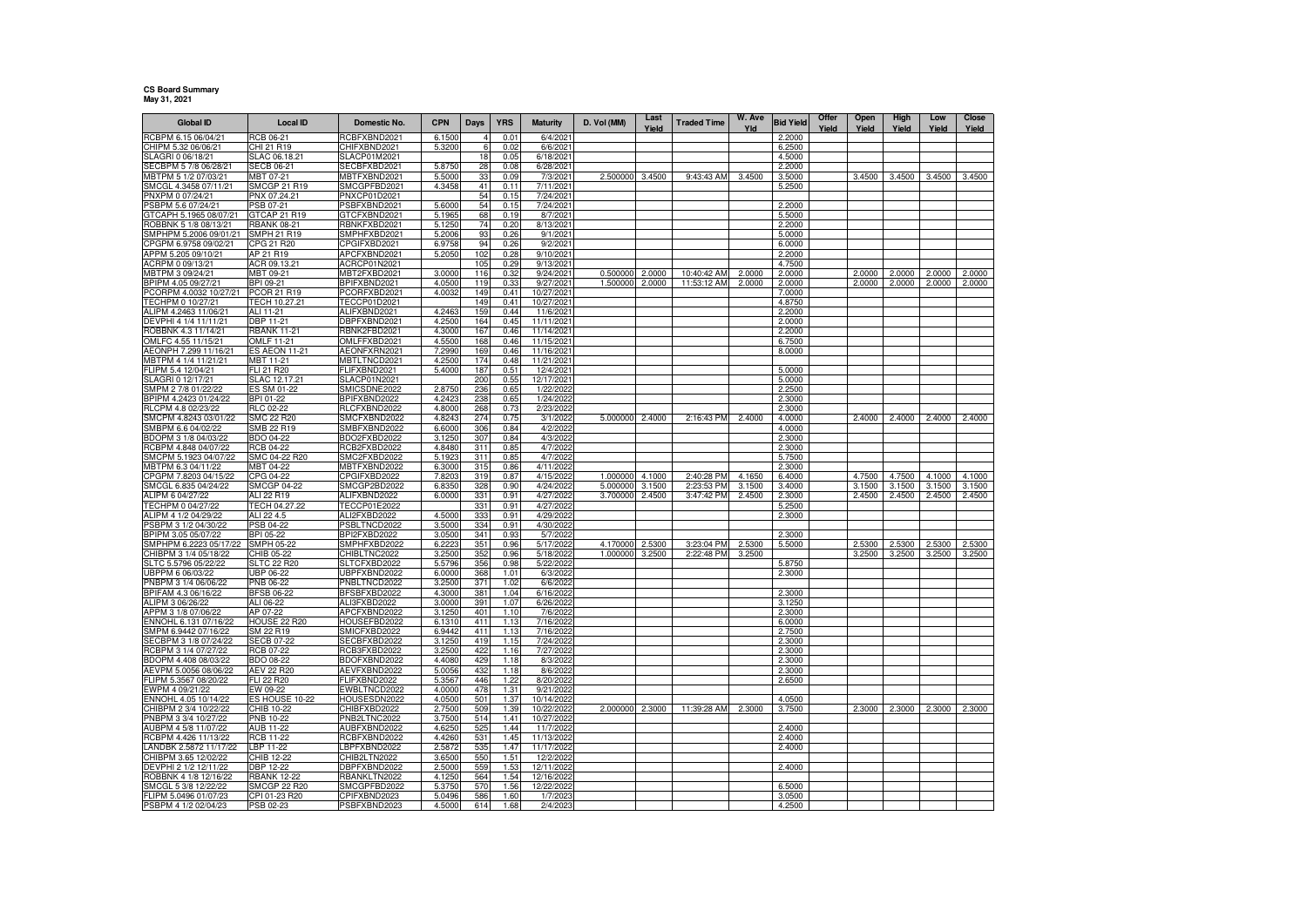## **CS Board Summary May 31, 2021**

| <b>Global ID</b>                               | <b>Local ID</b>                 | Domestic No.                 | <b>CPN</b>       | Days       | <b>YRS</b>   | <b>Maturity</b>          | D. Vol (MM) | Last<br>Yield | <b>Traded Time</b> | W. Ave<br>Yld | <b>Bid Yield</b> | Offer<br>Yield | Open<br>Yield | High<br>Yield | Low<br>Yield | Close<br>Yield |
|------------------------------------------------|---------------------------------|------------------------------|------------------|------------|--------------|--------------------------|-------------|---------------|--------------------|---------------|------------------|----------------|---------------|---------------|--------------|----------------|
| RCBPM 6.15 06/04/21                            | RCB 06-21                       | RCBFXBND2021                 | 6.1500           |            | 0.01         | 6/4/202                  |             |               |                    |               | 2.2000           |                |               |               |              |                |
| CHIPM 5.32 06/06/21                            | CHI 21 R19                      | CHIFXBND2021                 | 5.3200           | 6          | 0.02         | 6/6/2021                 |             |               |                    |               | 6.2500           |                |               |               |              |                |
| SLAGRI 0 06/18/21                              | SLAC 06.18.21                   | SLACP01M2021                 |                  | 18         | 0.05         | 6/18/2021                |             |               |                    |               | 4.5000           |                |               |               |              |                |
| SECBPM 5 7/8 06/28/21                          | SECB 06-21                      | SECBFXBD2021                 | 5.8750           | 28         | 0.08         | 6/28/2021                |             |               |                    |               | 2.2000           |                |               |               |              |                |
| MBTPM 5 1/2 07/03/21                           | MBT 07-21                       | MBTFXBND2021                 | 5.5000           | 33         | 0.09         | 7/3/2021                 | 2.500000    | 3.4500        | 9:43:43 AM         | 3.4500        | 3.5000           |                | 3.4500        | 3.4500        | 3.4500       | 3.4500         |
| SMCGL 4.3458 07/11/21<br>PNXPM 0 07/24/21      | SMCGP 21 R19<br>PNX 07.24.21    | SMCGPFBD2021<br>PNXCP01D2021 | 4.3458           | 41<br>54   | 0.11<br>0.15 | 7/11/2021<br>7/24/2021   |             |               |                    |               | 5.2500           |                |               |               |              |                |
| PSBPM 5.6 07/24/2                              | PSB 07-21                       | PSBFXBND2021                 | 5.6000           | 54         | 0.15         | 7/24/2021                |             |               |                    |               | 2.2000           |                |               |               |              |                |
| GTCAPH 5.1965 08/07/21                         | GTCAP 21 R19                    | GTCFXBND2021                 | 5.1965           | 68         | 0.19         | 8/7/2021                 |             |               |                    |               | 5.5000           |                |               |               |              |                |
| ROBBNK 5 1/8 08/13/21                          | <b>RBANK 08-21</b>              | RBNKFXBD2021                 | 5.1250           | 74         | 0.20         | 8/13/2021                |             |               |                    |               | 2.2000           |                |               |               |              |                |
| SMPHPM 5.2006 09/01/21                         | SMPH 21 R19                     | SMPHFXBD2021                 | 5.2006           | 93         | 0.26         | 9/1/2021                 |             |               |                    |               | 5.0000           |                |               |               |              |                |
| CPGPM 6.9758 09/02/21                          | CPG 21 R20                      | CPGIFXBD2021                 | 6.9758           | 94         | 0.26         | 9/2/2021                 |             |               |                    |               | 6.0000           |                |               |               |              |                |
| APPM 5.205 09/10/21<br>ACRPM 0 09/13/21        | AP 21 R19<br>ACR 09.13.21       | APCFXBND2021<br>ACRCP01N2021 | 5.2050           | 102<br>105 | 0.28<br>0.29 | 9/10/2021<br>9/13/2021   |             |               |                    |               | 2.2000<br>4.7500 |                |               |               |              |                |
| MBTPM 3 09/24/21                               | MBT 09-21                       | MBT2FXBD2021                 | 3.0000           | 116        | 0.32         | 9/24/2021                | 0.500000    | 2.0000        | 10:40:42 AM        | 2.0000        | 2.0000           |                | 2.0000        | 2.0000        | 2.0000       | 2.0000         |
| BPIPM 4.05 09/27/21                            | BPI 09-21                       | BPIFXBND2021                 | 4.0500           | 119        | 0.33         | 9/27/2021                | 1.500000    | 2.0000        | 11:53:12 AM        | 2.0000        | 2.0000           |                | 2.0000        | 2.0000        | 2.0000       | 2.0000         |
| PCORPM 4.0032 10/27/21                         | PCOR 21 R19                     | PCORFXBD2021                 | 4.0032           | 149        | 0.41         | 10/27/2021               |             |               |                    |               | 7.0000           |                |               |               |              |                |
| TECHPM 0 10/27/21                              | TECH 10.27.21                   | TECCP01D2021                 |                  | 149        | 0.41         | 10/27/2021               |             |               |                    |               | 4.8750           |                |               |               |              |                |
| ALIPM 4.2463 11/06/21                          | ALI 11-21                       | ALIFXBND2021                 | 4.2463           | 159        | 0.44         | 11/6/2021                |             |               |                    |               | 2.2000           |                |               |               |              |                |
| DEVPHI 4 1/4 11/11/21<br>ROBBNK 4.3 11/14/21   | DBP 11-21<br><b>RBANK 11-21</b> | DBPFXBND2021<br>RBNK2FBD2021 | 4.2500<br>4.3000 | 164<br>167 | 0.45<br>0.46 | 11/11/2021<br>11/14/2021 |             |               |                    |               | 2.0000<br>2.2000 |                |               |               |              |                |
| OMLFC 4.55 11/15/21                            | OMLF 11-21                      | OMLFFXBD2021                 | 4.5500           | 168        | 0.46         | 11/15/2021               |             |               |                    |               | 6.7500           |                |               |               |              |                |
| AEONPH 7.299 11/16/21                          | <b>ES AEON 11-21</b>            | AEONFXRN2021                 | 7.2990           | 169        | 0.46         | 11/16/2021               |             |               |                    |               | 8.0000           |                |               |               |              |                |
| MBTPM 4 1/4 11/21/21                           | MBT 11-21                       | MBTLTNCD2021                 | 4.2500           | 174        | 0.48         | 11/21/2021               |             |               |                    |               |                  |                |               |               |              |                |
| FLIPM 5.4 12/04/21                             | FLI 21 R20                      | FLIFXBND2021                 | 5.4000           | 187        | 0.51         | 12/4/2021                |             |               |                    |               | 5.0000           |                |               |               |              |                |
| SLAGRI 0 12/17/21                              | SLAC 12.17.21                   | SLACP01N2021                 |                  | 200        | 0.55         | 12/17/2021               |             |               |                    |               | 5.0000           |                |               |               |              |                |
| MPM 2 7/8 01/22/22                             | ES SM 01-22                     | SMICSDNE2022                 | 2.8750           | 236        | 0.65         | 1/22/2022                |             |               |                    |               | 2.2500           |                |               |               |              |                |
| BPIPM 4.2423 01/24/22<br>RLCPM 4.8 02/23/22    | BPI 01-22<br>RLC 02-22          | BPIFXBND2022<br>RLCFXBND2022 | 4.2423<br>4.8000 | 238<br>268 | 0.65<br>0.73 | 1/24/2022<br>2/23/2022   |             |               |                    |               | 2.3000<br>2.3000 |                |               |               |              |                |
| SMCPM 4.8243 03/01/22                          | SMC 22 R20                      | SMCFXBND2022                 | 4.8243           | 274        | 0.75         | 3/1/2022                 | 5.000000    | 2.4000        | 2:16:43 PM         | 2.4000        | 4.0000           |                | 2.4000        | 2.4000        | 2.4000       | 2.4000         |
| SMBPM 6.6 04/02/22                             | SMB 22 R19                      | SMBFXBND2022                 | 6.6000           | 306        | 0.84         | 4/2/2022                 |             |               |                    |               | 4.0000           |                |               |               |              |                |
| BDOPM 3 1/8 04/03/22                           | BDO 04-22                       | BDO2FXBD2022                 | 3.1250           | 307        | 0.84         | 4/3/2022                 |             |               |                    |               | 2.3000           |                |               |               |              |                |
| RCBPM 4.848 04/07/22                           | RCB 04-22                       | RCB2FXBD2022                 | 4.8480           | 311        | 0.85         | 4/7/2022                 |             |               |                    |               | 2.3000           |                |               |               |              |                |
| SMCPM 5.1923 04/07/22                          | SMC 04-22 R20                   | SMC2FXBD2022                 | 5.1923           | 311        | 0.85         | 4/7/2022                 |             |               |                    |               | 5.7500           |                |               |               |              |                |
| MBTPM 6.3 04/11/22<br>CPGPM 7.8203 04/15/22    | MBT 04-22<br>CPG 04-22          | MBTFXBND2022<br>CPGIFXBD2022 | 6.3000<br>7.8203 | 315<br>319 | 0.86<br>0.87 | 4/11/2022<br>4/15/2022   | 1.000000    | 4.1000        | 2:40:28 PM         | 4.1650        | 2.3000<br>6.4000 |                | 4.7500        | 4.7500        | 4.1000       | 4.1000         |
| SMCGL 6.835 04/24/22                           | SMCGP 04-22                     | SMCGP2BD2022                 | 6.8350           | 328        | 0.90         | 4/24/2022                | 5.000000    | 3.1500        | 2:23:53 PM         | 3.1500        | 3.4000           |                | 3.1500        | 3.1500        | 3.1500       | 3.1500         |
| ALIPM 6 04/27/22                               | ALI 22 R19                      | ALIFXBND2022                 | 6.0000           | 331        | 0.91         | 4/27/2022                | 3.700000    | 2.4500        | 3:47:42 PM         | 2.4500        | 2.3000           |                | 2.4500        | 2.4500        | 2.4500       | 2.4500         |
| TECHPM 0 04/27/22                              | TECH 04.27.22                   | TECCP01E2022                 |                  | 331        | 0.91         | 4/27/2022                |             |               |                    |               | 5.2500           |                |               |               |              |                |
| ALIPM 4 1/2 04/29/22                           | ALI 22 4.5                      | ALI2FXBD2022                 | 4.5000           | 333        | 0.91         | 4/29/2022                |             |               |                    |               | 2.3000           |                |               |               |              |                |
| PSBPM 3 1/2 04/30/22                           | PSB 04-22                       | PSBLTNCD2022<br>BPI2FXBD2022 | 3.5000           | 334        | 0.91         | 4/30/2022                |             |               |                    |               |                  |                |               |               |              |                |
| BPIPM 3.05 05/07/22<br>SMPHPM 6.2223 05/17/22  | BPI 05-22<br>SMPH 05-22         | SMPHFXBD2022                 | 3.0500<br>6.222  | 341<br>351 | 0.93<br>0.96 | 5/7/2022<br>5/17/2022    | 4.170000    | 2.5300        | 3:23:04 PM         | 2.5300        | 2.3000<br>5.5000 |                | 2.5300        | 2.5300        | 2.5300       | 2.5300         |
| CHIBPM 3 1/4 05/18/22                          | CHIB 05-22                      | CHIBLTNC2022                 | 3.2500           | 352        | 0.96         | 5/18/2022                | 1.000000    | 3.2500        | 2:22:48 PM         | 3.2500        |                  |                | 3.2500        | 3.2500        | 3.2500       | 3.2500         |
| SLTC 5.5796 05/22/22                           | SLTC 22 R20                     | SLTCFXBD2022                 | 5.5796           | 356        | 0.98         | 5/22/2022                |             |               |                    |               | 5.8750           |                |               |               |              |                |
| UBPPM 6 06/03/22                               | <b>JBP 06-22</b>                | UBPFXBND2022                 | 6.0000           | 368        | 1.01         | 6/3/2022                 |             |               |                    |               | 2.3000           |                |               |               |              |                |
| PNBPM 3 1/4 06/06/22                           | PNB 06-22                       | PNBLTNCD2022                 | 3.2500           | 371        | 1.02         | 6/6/2022                 |             |               |                    |               |                  |                |               |               |              |                |
| BPIFAM 4.3 06/16/22<br>ALIPM 3 06/26/22        | <b>BFSB 06-22</b><br>ALI 06-22  | BFSBFXBD2022                 | 4.3000           | 381<br>391 | 1.04<br>1.07 | 6/16/2022<br>6/26/2022   |             |               |                    |               | 2.3000           |                |               |               |              |                |
| APPM 3 1/8 07/06/22                            | AP 07-22                        | ALI3FXBD2022<br>APCFXBND2022 | 3.0000<br>3.1250 | 401        | 1.10         | 7/6/2022                 |             |               |                    |               | 3.1250<br>2.3000 |                |               |               |              |                |
| ENNOHL 6.131 07/16/22                          | HOUSE 22 R20                    | HOUSEFBD2022                 | 6.1310           | 411        | 1.13         | 7/16/2022                |             |               |                    |               | 6.0000           |                |               |               |              |                |
| SMPM 6.9442 07/16/22                           | SM 22 R19                       | SMICFXBD2022                 | 6.9442           | 411        | 1.13         | 7/16/2022                |             |               |                    |               | 2.7500           |                |               |               |              |                |
| SECBPM 3 1/8 07/24/22                          | SECB 07-22                      | SECBFXBD2022                 | 3.1250           | 419        | 1.15         | 7/24/2022                |             |               |                    |               | 2.3000           |                |               |               |              |                |
| RCBPM 3 1/4 07/27/22                           | RCB 07-22                       | RCB3FXBD2022                 | 3.2500           | 422        | 1.16         | 7/27/2022                |             |               |                    |               | 2.3000           |                |               |               |              |                |
| BDOPM 4.408 08/03/22                           | BDO 08-22                       | BDOFXBND2022                 | 4.4080           | 429        | 1.18         | 8/3/2022                 |             |               |                    |               | 2.3000           |                |               |               |              |                |
| AEVPM 5.0056 08/06/22<br>FLIPM 5.3567 08/20/22 | AEV 22 R20<br>FLI 22 R20        | AEVFXBND2022<br>FLIFXBND2022 | 5.0056<br>5.3567 | 432<br>446 | 1.18<br>1.22 | 8/6/2022<br>8/20/2022    |             |               |                    |               | 2.3000<br>2.6500 |                |               |               |              |                |
| EWPM 4 09/21/22                                | EW 09-22                        | EWBLTNCD2022                 | 4.000            | 478        | 1.31         | 9/21/2022                |             |               |                    |               |                  |                |               |               |              |                |
| NNOHL 4.05 10/14/22                            | ES HOUSE 10-22                  | HOUSESDN2022                 | 4.0500           | 501        | 1.37         | 10/14/2022               |             |               |                    |               | 4.0500           |                |               |               |              |                |
| CHIBPM 2 3/4 10/22/22                          | CHIB 10-22                      | CHIBFXBD2022                 | 2.7500           | 509        | 1.39         | 10/22/2022               | 2.000000    | 2.3000        | 11:39:28 AM        | 2.3000        | 3.7500           |                | 2.3000        | 2.3000        | 2.3000       | 2.3000         |
| PNBPM 3 3/4 10/27/22                           | PNB 10-22                       | PNB2LTNC2022                 | 3.7500           | 514        | 1.41         | 10/27/2022               |             |               |                    |               |                  |                |               |               |              |                |
| AUBPM 4 5/8 11/07/22<br>RCBPM 4.426 11/13/22   | AUB 11-22                       | AUBFXBND2022                 | 4.6250           | 525        | 1.44         | 11/7/2022<br>11/13/2022  |             |               |                    |               | 2.4000           |                |               |               |              |                |
| ANDBK 2.5872 11/17/22                          | RCB 11-22<br>LBP 11-22          | RCBFXBND2022<br>BPFXBND2022  | 4.4260<br>2.5872 | 531<br>535 | 1.45<br>1.47 | 11/17/2022               |             |               |                    |               | 2.4000<br>2.4000 |                |               |               |              |                |
| CHIBPM 3.65 12/02/22                           | CHIB 12-22                      | CHIB2LTN2022                 | 3.6500           | 550        | 1.51         | 12/2/202                 |             |               |                    |               |                  |                |               |               |              |                |
| DEVPHI 2 1/2 12/11/22                          | DBP 12-22                       | DBPFXBND2022                 | 2.5000           | 559        | 1.53         | 12/11/2022               |             |               |                    |               | 2.4000           |                |               |               |              |                |
| ROBBNK 4 1/8 12/16/22                          | <b>RBANK 12-22</b>              | RBANKLTN2022                 | 4.1250           | 564        | 1.54         | 12/16/2022               |             |               |                    |               |                  |                |               |               |              |                |
| SMCGL 5 3/8 12/22/22                           | SMCGP 22 R20                    | SMCGPFBD2022                 | 5.3750           | 570        | 1.56         | 12/22/2022               |             |               |                    |               | 6.5000           |                |               |               |              |                |
| FLIPM 5.0496 01/07/23                          | CPI 01-23 R20                   | CPIFXBND2023                 | 5.0496           | 586        | 1.60         | 1/7/2023                 |             |               |                    |               | 3.0500           |                |               |               |              |                |
| PSBPM 4 1/2 02/04/23                           | PSB 02-23                       | PSBFXBND2023                 | 4.5000           | 614        | 1.68         | 2/4/2023                 |             |               |                    |               | 4.2500           |                |               |               |              |                |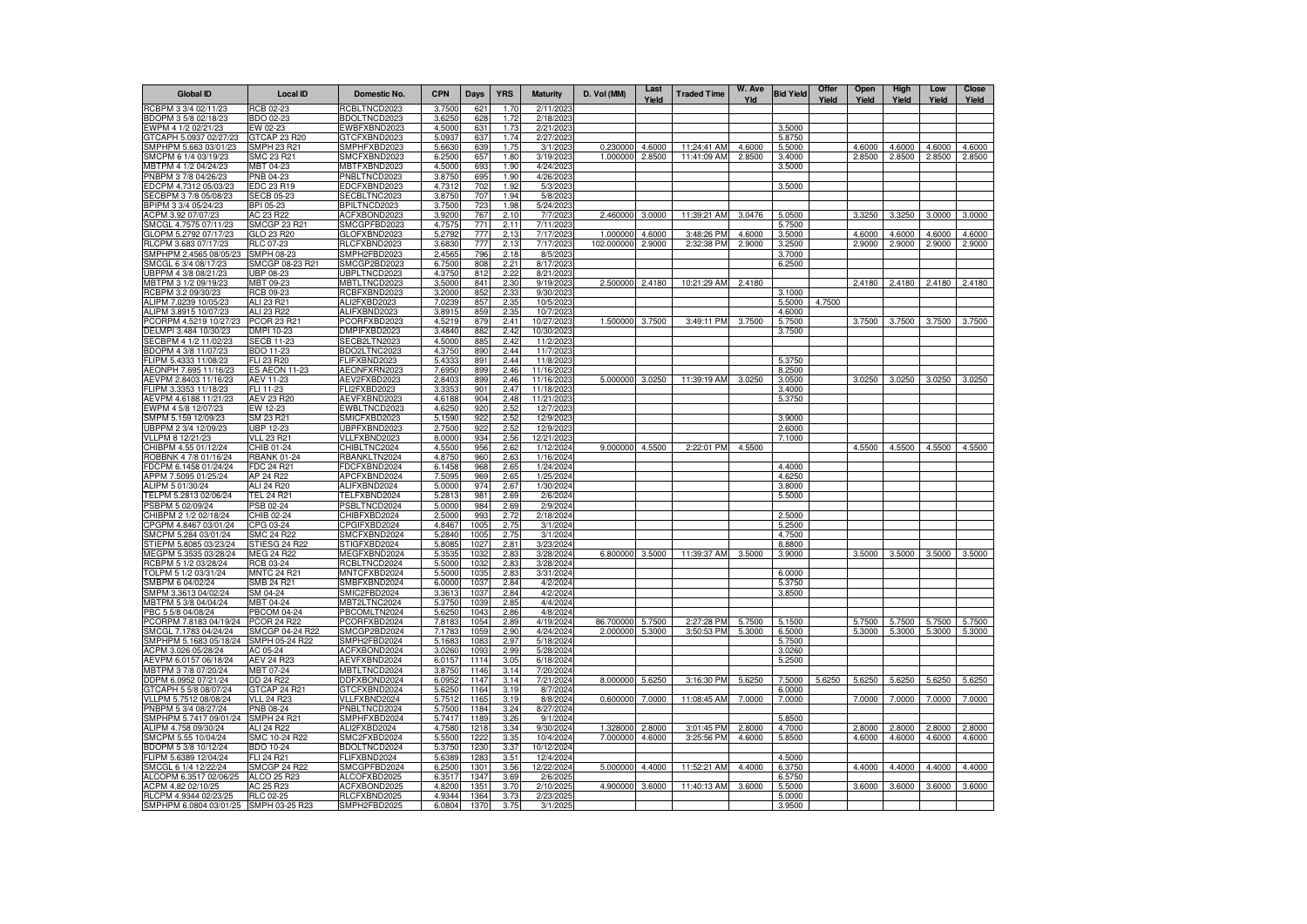| <b>Global ID</b>                                | <b>Local ID</b>                       | Domestic No.                 | <b>CPN</b>       | Days         | <b>YRS</b>   | <b>Maturity</b>          | D. Vol (MM) | Last<br>Yield | <b>Traded Time</b> | W. Ave<br>Yld | <b>Bid Yield</b> | Offer<br>Yield | Open<br>Yield | High<br>Yield | Low<br>Yield | <b>Close</b><br>Yield |
|-------------------------------------------------|---------------------------------------|------------------------------|------------------|--------------|--------------|--------------------------|-------------|---------------|--------------------|---------------|------------------|----------------|---------------|---------------|--------------|-----------------------|
| RCBPM 3 3/4 02/11/23                            | <b>RCB 02-23</b>                      | RCBLTNCD2023                 | 3.7500           | 621          | 1.70         | 2/11/202                 |             |               |                    |               |                  |                |               |               |              |                       |
| BDOPM 3 5/8 02/18/23                            | <b>BDO 02-23</b>                      | BDOLTNCD2023                 | 3.6250           | 628          | 1.72         | 2/18/2023                |             |               |                    |               |                  |                |               |               |              |                       |
| EWPM 4 1/2 02/21/23                             | EW 02-23                              | EWBFXBND2023                 | 4.5000           | 631          | 1.73         | 2/21/2023                |             |               |                    |               | 3.5000           |                |               |               |              |                       |
| GTCAPH 5.0937 02/27/23<br>SMPHPM 5.663 03/01/23 | GTCAP 23 R20<br>SMPH 23 R21           | GTCFXBND2023<br>SMPHFXBD2023 | 5.0937<br>5.6630 | 637<br>639   | 1.74<br>1.75 | 2/27/2023<br>3/1/2023    | 0.230000    | 4.6000        | 11:24:41 AM        | 4.6000        | 5.8750<br>5.5000 |                | 4.6000        | 4.6000        | 4.6000       | 4.6000                |
| SMCPM 6 1/4 03/19/23                            | SMC 23 R21                            | SMCFXBND2023                 | 6.2500           | 657          | 1.80         | 3/19/2023                | 1.000000    | 2.8500        | 11:41:09 AM        | 2.8500        | 3.4000           |                | 2.8500        | 2.8500        | 2.8500       | 2.8500                |
| MBTPM 4 1/2 04/24/23                            | MBT 04-23                             | MBTFXBND2023                 | 4.5000           | 693          | 1.90         | 4/24/2023                |             |               |                    |               | 3.5000           |                |               |               |              |                       |
| PNBPM 3 7/8 04/26/23                            | PNB 04-23                             | PNBLTNCD2023                 | 3.8750           | 695          | 1.90         | 4/26/2023                |             |               |                    |               |                  |                |               |               |              |                       |
| EDCPM 4.7312 05/03/23                           | EDC 23 R19                            | EDCFXBND2023                 | 4.7312           | 702          | 1.92         | 5/3/2023                 |             |               |                    |               | 3.5000           |                |               |               |              |                       |
| SECBPM 3 7/8 05/08/23                           | <b>SECB 05-23</b>                     | SECBLTNC2023                 | 3.8750           | 707          | 1.94         | 5/8/2023                 |             |               |                    |               |                  |                |               |               |              |                       |
| BPIPM 3 3/4 05/24/23                            | BPI 05-23                             | BPILTNCD2023                 | 3.7500           | 723          | 1.98         | 5/24/2023                |             |               |                    |               |                  |                |               |               |              |                       |
| ACPM 3.92 07/07/23                              | AC 23 R22                             | ACFXBOND2023                 | 3.9200           | 767          | 2.10         | 7/7/2023                 | 2.460000    | 3.0000        | 11:39:21 AM        | 3.0476        | 5.0500           |                | 3.3250        | 3.3250        | 3.0000       | 3.0000                |
| SMCGL 4.7575 07/11/23                           | <b>SMCGP 23 R21</b>                   | SMCGPFBD2023                 | 4.7575           | 771          | 2.11         | 7/11/2023                |             |               |                    |               | 5.7500           |                |               |               |              |                       |
| GLOPM 5.2792 07/17/23                           | GLO 23 R20                            | GLOFXBND2023                 | 5.2792           | 777          | 2.13         | 7/17/2023                | 1.000000    | 4.6000        | 3:48:26 PM         | 4.6000        | 3.5000           |                | 4.6000        | 4.6000        | 4.6000       | 4.6000                |
| RLCPM 3.683 07/17/23<br>SMPHPM 2.4565 08/05/23  | RLC 07-23<br>SMPH 08-23               | RLCFXBND2023<br>SMPH2FBD2023 | 3.6830<br>2.4565 | 777<br>796   | 2.13<br>2.18 | 7/17/2023<br>8/5/2023    | 102.000000  | 2.9000        | 2:32:38 PM         | 2.9000        | 3.2500<br>3.7000 |                | 2.9000        | 2.9000        | 2.9000       | 2.9000                |
| SMCGL 6 3/4 08/17/23                            | SMCGP 08-23 R21                       | SMCGP2BD2023                 | 6.7500           | 808          | 2.21         | 8/17/2023                |             |               |                    |               | 6.2500           |                |               |               |              |                       |
| UBPPM 4 3/8 08/21/23                            | UBP 08-23                             | JBPLTNCD2023                 | 4.3750           | 812          | 2.22         | 8/21/2023                |             |               |                    |               |                  |                |               |               |              |                       |
| MBTPM 3 1/2 09/19/23                            | MBT 09-23                             | MBTLTNCD2023                 | 3.5000           | 841          | 2.30         | 9/19/2023                | 2.500000    | 2.4180        | 10:21:29 AM        | 2.4180        |                  |                | 2.4180        | 2.4180        | 2.4180       | 2.4180                |
| RCBPM 3.2 09/30/23                              | RCB 09-23                             | RCBFXBND2023                 | 3.2000           | 852          | 2.33         | 9/30/2023                |             |               |                    |               | 3.1000           |                |               |               |              |                       |
| ALIPM 7.0239 10/05/23                           | ALI 23 R21                            | ALI2FXBD2023                 | 7.0239           | 857          | 2.35         | 10/5/2023                |             |               |                    |               | 5.5000           | 4.7500         |               |               |              |                       |
| ALIPM 3.8915 10/07/23                           | ALI 23 R22                            | ALIFXBND2023                 | 3.8915           | 859          | 2.35         | 10/7/2023                |             |               |                    |               | 4.6000           |                |               |               |              |                       |
| PCORPM 4.5219 10/27/23                          | PCOR 23 R21                           | PCORFXBD2023                 | 4.5219           | 879          | 2.41         | 10/27/2023               | 1.500000    | 3.7500        | 3:49:11 PM         | 3.7500        | 5.7500           |                | 3.7500        | 3.7500        | 3.7500       | 3.7500                |
| DELMPI 3.484 10/30/23                           | DMPI 10-23                            | DMPIFXBD2023                 | 3.4840           | 882          | 2.42         | 10/30/2023               |             |               |                    |               | 3.7500           |                |               |               |              |                       |
| SECBPM 4 1/2 11/02/23                           | <b>SECB 11-23</b>                     | SECB2LTN2023                 | 4.5000           | 885          | 2.42         | 11/2/2023                |             |               |                    |               |                  |                |               |               |              |                       |
| BDOPM 4 3/8 11/07/23                            | BDO 11-23                             | BDO2LTNC2023                 | 4.3750           | 890          | 2.44         | 11/7/2023                |             |               |                    |               |                  |                |               |               |              |                       |
| FLIPM 5.4333 11/08/23                           | FLI 23 R20                            | <b>LIFXBND2023</b>           | 5.4333           | 891          | 2.44         | 11/8/2023                |             |               |                    |               | 5.3750           |                |               |               |              |                       |
| AEONPH 7.695 11/16/23<br>AEVPM 2.8403 11/16/23  | ES AEON 11-23<br><b>AEV 11-23</b>     | AEONFXRN2023<br>AEV2FXBD2023 | 7.6950<br>2.8403 | 899<br>899   | 2.46<br>2.46 | 11/16/2023<br>11/16/2023 | 5.000000    | 3.0250        | 11:39:19 AM        | 3.0250        | 8.2500<br>3.0500 |                | 3.0250        | 3.0250        | 3.0250       | 3.0250                |
| FLIPM 3.3353 11/18/23                           | FLI 11-23                             | FLI2FXBD2023                 | 3.3353           | 901          | 2.47         | 11/18/2023               |             |               |                    |               | 3.4000           |                |               |               |              |                       |
| AEVPM 4.6188 11/21/23                           | AEV 23 R20                            | AEVFXBND2023                 | 4.6188           | 904          | 2.48         | 11/21/2023               |             |               |                    |               | 5.3750           |                |               |               |              |                       |
| EWPM 4 5/8 12/07/23                             | EW 12-23                              | EWBLTNCD2023                 | 4.6250           | 920          | 2.52         | 12/7/2023                |             |               |                    |               |                  |                |               |               |              |                       |
| SMPM 5.159 12/09/23                             | SM 23 R21                             | SMICFXBD2023                 | 5.1590           | 922          | 2.52         | 12/9/2023                |             |               |                    |               | 3.9000           |                |               |               |              |                       |
| UBPPM 2 3/4 12/09/23                            | UBP 12-23                             | JBPFXBND2023                 | 2.7500           | 922          | 2.52         | 12/9/2023                |             |               |                    |               | 2.6000           |                |               |               |              |                       |
| VLLPM 8 12/21/23                                | <b>VLL 23 R21</b>                     | VLLFXBND2023                 | 8.0000           | 934          | 2.56         | 12/21/2023               |             |               |                    |               | 7.1000           |                |               |               |              |                       |
| CHIBPM 4.55 01/12/24                            | CHIB 01-24                            | CHIBLTNC2024                 | 4.5500           | 956          | 2.62         | 1/12/2024                | 9.000000    | 4.5500        | 2:22:01 PM         | 4.5500        |                  |                | 4.5500        | 4.5500        | 4.5500       | 4.5500                |
| ROBBNK 4 7/8 01/16/24                           | <b>RBANK 01-24</b>                    | RBANKLTN2024                 | 4.8750           | 960          | 2.63         | 1/16/2024                |             |               |                    |               |                  |                |               |               |              |                       |
| FDCPM 6.1458 01/24/24                           | FDC 24 R21                            | FDCFXBND2024                 | 6.1458           | 968          | 2.65         | 1/24/2024                |             |               |                    |               | 4.4000           |                |               |               |              |                       |
| APPM 7.5095 01/25/24                            | AP 24 R22                             | APCFXBND2024                 | 7.5095           | 969          | 2.65         | 1/25/2024                |             |               |                    |               | 4.6250           |                |               |               |              |                       |
| ALIPM 5 01/30/24                                | ALI 24 R20                            | ALIFXBND2024<br>TELFXBND2024 | 5.0000<br>5.2813 | 974<br>981   | 2.67         | 1/30/2024                |             |               |                    |               | 3.8000<br>5.5000 |                |               |               |              |                       |
| TELPM 5.2813 02/06/24<br>PSBPM 5 02/09/24       | TEL 24 R21<br>PSB 02-24               | PSBLTNCD2024                 | 5.0000           | 984          | 2.69<br>2.69 | 2/6/2024<br>2/9/2024     |             |               |                    |               |                  |                |               |               |              |                       |
| CHIBPM 2 1/2 02/18/24                           | CHIB 02-24                            | CHIBFXBD2024                 | 2.5000           | 993          | 2.72         | 2/18/2024                |             |               |                    |               | 2.5000           |                |               |               |              |                       |
| CPGPM 4.8467 03/01/24                           | CPG 03-24                             | CPGIFXBD2024                 | 4.8467           | 1005         | 2.75         | 3/1/2024                 |             |               |                    |               | 5.2500           |                |               |               |              |                       |
| SMCPM 5.284 03/01/24                            | SMC 24 R22                            | SMCFXBND2024                 | 5.2840           | 1005         | 2.75         | 3/1/2024                 |             |               |                    |               | 4.7500           |                |               |               |              |                       |
| STIEPM 5.8085 03/23/24                          | STIESG 24 R22                         | STIGFXBD2024                 | 5.8085           | 1027         | 2.81         | 3/23/2024                |             |               |                    |               | 8.8800           |                |               |               |              |                       |
| MEGPM 5.3535 03/28/24                           | <b>MEG 24 R22</b>                     | MEGFXBND2024                 | 5.3535           | 1032         | 2.83         | 3/28/2024                | 6.800000    | 3.5000        | 11:39:37 AM        | 3.5000        | 3.9000           |                | 3.5000        | 3.5000        | 3.5000       | 3.5000                |
| RCBPM 5 1/2 03/28/24                            | RCB 03-24                             | RCBLTNCD2024                 | 5.5000           | 1032         | 2.83         | 3/28/2024                |             |               |                    |               |                  |                |               |               |              |                       |
| TOLPM 5 1/2 03/31/24                            | <b>MNTC 24 R21</b>                    | MNTCFXBD2024                 | 5.5000           | 1035         | 2.83         | 3/31/2024                |             |               |                    |               | 6.0000           |                |               |               |              |                       |
| SMBPM 6 04/02/24                                | SMB 24 R21                            | SMBFXBND2024                 | 6.0000           | 103          | 2.84         | 4/2/2024                 |             |               |                    |               | 5.3750           |                |               |               |              |                       |
| SMPM 3.3613 04/02/24<br>MBTPM 5 3/8 04/04/24    | SM 04-24<br>MBT 04-24                 | SMIC2FBD2024<br>MBT2LTNC2024 | 3.3613<br>5.3750 | 103<br>1039  | 2.84<br>2.85 | 4/2/2024<br>4/4/2024     |             |               |                    |               | 3.8500           |                |               |               |              |                       |
| PBC 5 5/8 04/08/24                              | <b>PBCOM 04-24</b>                    | PBCOMLTN2024                 | 5.6250           | 1043         | 2.86         | 4/8/2024                 |             |               |                    |               |                  |                |               |               |              |                       |
| PCORPM 7.8183 04/19/24                          | <b>PCOR 24 R22</b>                    | PCORFXBD2024                 | 7.8183           | 1054         | 2.89         | 4/19/2024                | 86.700000   | 5.7500        | 2:27:28 PM         | 5.7500        | 5.1500           |                | 5.7500        | 5.7500        | 5.7500       | 5.7500                |
| SMCGL 7.1783 04/24/24                           | SMCGP 04-24 R22                       | SMCGP2BD2024                 | 7.1783           | 1059         | 2.90         | 4/24/2024                | 2.000000    | 5.3000        | 3:50:53 PM         | 5.3000        | 6.5000           |                | 5.3000        | 5.3000        | 5.3000       | 5.3000                |
| SMPHPM 5.1683 05/18/24                          | SMPH 05-24 R22                        | SMPH2FBD2024                 | 5.1683           | 1083         | 2.97         | 5/18/2024                |             |               |                    |               | 5.7500           |                |               |               |              |                       |
| ACPM 3.026 05/28/24                             | AC 05-24                              | ACFXBOND2024                 | 3.0260           | 1093         | 2.99         | 5/28/2024                |             |               |                    |               | 3.0260           |                |               |               |              |                       |
| AEVPM 6.0157 06/18/24                           | AEV 24 R23                            | AEVFXBND2024                 | 6.0157           | 1114         | 3.05         | 6/18/2024                |             |               |                    |               | 5.2500           |                |               |               |              |                       |
| MBTPM 3 7/8 07/20/24                            | MBT 07-24                             | MBTLTNCD2024                 | 3.8750           | 1146         | 3.14         | 7/20/2024                |             |               |                    |               |                  |                |               |               |              |                       |
| DDPM 6.0952 07/21/24                            | DD 24 R22                             | DDFXBOND2024                 | 6.0952           | 1147         | 3.14         | 7/21/2024                | 8.000000    | 5.6250        | 3:16:30 PM         | 5.6250        | 7.5000           | 5.6250         | 5.6250        | 5.6250        | 5.6250       | 5.6250                |
| GTCAPH 5 5/8 08/07/24                           | GTCAP 24 R21                          | GTCFXBND2024                 | 5.6250           | 1164         | 3.19         | 8/7/2024                 |             |               |                    |               | 6.0000           |                |               |               |              |                       |
| VLLPM 5.7512 08/08/24<br>PNBPM 5 3/4 08/27/24   | <b>VLL 24 R23</b><br><b>PNB 08-24</b> | VLLFXBND2024<br>PNBLTNCD2024 | 5.7512<br>5.7500 | 1165<br>1184 | 3.19<br>3.24 | 8/8/2024<br>8/27/2024    | 0.600000    | 7.0000        | 11:08:45 AM        | 7.0000        | 7.0000           |                | 7.0000        | 7.0000        | 7.0000       | 7.0000                |
| SMPHPM 5.7417 09/01/24                          | <b>SMPH 24 R21</b>                    | SMPHFXBD2024                 | 5.7417           | 1189         | 3.26         | 9/1/2024                 |             |               |                    |               | 5.8500           |                |               |               |              |                       |
| ALIPM 4.758 09/30/24                            | ALI 24 R22                            | ALI2FXBD2024                 | 4.7580           | 1218         | 3.34         | 9/30/2024                | 1.328000    | 2.8000        | 3:01:45 PM         | 2.8000        | 4.7000           |                | 2.8000        | 2.8000        | 2.8000       | 2.8000                |
| SMCPM 5.55 10/04/24                             | SMC 10-24 R22                         | SMC2FXBD2024                 | 5.5500           | 1222         | 3.35         | 10/4/2024                | 7.000000    | 4.6000        | 3:25:56 PM         | 4.6000        | 5.8500           |                | 4.6000        | 4.6000        | 4.6000       | 4.6000                |
| BDOPM 5 3/8 10/12/24                            | <b>BDO 10-24</b>                      | BDOLTNCD2024                 | 5.3750           | 1230         | 3.37         | 10/12/2024               |             |               |                    |               |                  |                |               |               |              |                       |
| FLIPM 5.6389 12/04/24                           | <b>FLI 24 R21</b>                     | FLIFXBND2024                 | 5.6389           | 1283         | 3.51         | 12/4/2024                |             |               |                    |               | 4.5000           |                |               |               |              |                       |
| SMCGL 6 1/4 12/22/24                            | <b>SMCGP 24 R22</b>                   | SMCGPFBD2024                 | 6.2500           | 1301         | 3.56         | 12/22/2024               | 5.00000     | 4.4000        | 11:52:21 AM        | 4.4000        | 6.3750           |                | 4.4000        | 4.4000        | 4.4000       | 4.4000                |
| ALCOPM 6.3517 02/06/25                          | ALCO 25 R23                           | ALCOFXBD2025                 | 6.3517           | 134          | 3.69         | 2/6/2025                 |             |               |                    |               | 6.5750           |                |               |               |              |                       |
| ACPM 4.82 02/10/25                              | AC 25 R23                             | ACFXBOND2025                 | 4.8200           | 135          | 3.70         | 2/10/2025                | 4.900000    | 3.6000        | 11:40:13 AM        | 3.6000        | 5.5000           |                | 3.6000        | 3.6000        | 3.6000       | 3.6000                |
| RLCPM 4.9344 02/23/25                           | <b>RLC 02-25</b>                      | RLCFXBND2025                 | 4.9344           | 1364         | 3.73         | 2/23/2025                |             |               |                    |               | 5.0000           |                |               |               |              |                       |
| SMPHPM 6.0804 03/01/25 SMPH 03-25 R23           |                                       | SMPH2FBD2025                 | 6.0804           | 1370         | 3.75         | 3/1/2025                 |             |               |                    |               | 3.9500           |                |               |               |              |                       |